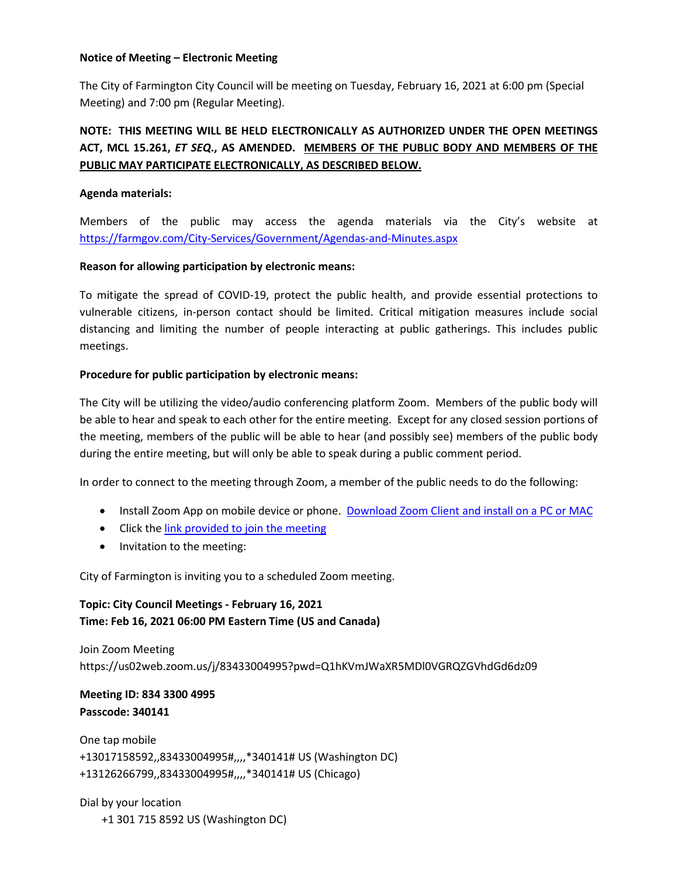#### **Notice of Meeting – Electronic Meeting**

The City of Farmington City Council will be meeting on Tuesday, February 16, 2021 at 6:00 pm (Special Meeting) and 7:00 pm (Regular Meeting).

# **NOTE: THIS MEETING WILL BE HELD ELECTRONICALLY AS AUTHORIZED UNDER THE OPEN MEETINGS ACT, MCL 15.261,** *ET SEQ***., AS AMENDED. MEMBERS OF THE PUBLIC BODY AND MEMBERS OF THE PUBLIC MAY PARTICIPATE ELECTRONICALLY, AS DESCRIBED BELOW.**

# **Agenda materials:**

Members of the public may access the agenda materials via the City's website at <https://farmgov.com/City-Services/Government/Agendas-and-Minutes.aspx>

#### **Reason for allowing participation by electronic means:**

To mitigate the spread of COVID-19, protect the public health, and provide essential protections to vulnerable citizens, in-person contact should be limited. Critical mitigation measures include social distancing and limiting the number of people interacting at public gatherings. This includes public meetings.

# **Procedure for public participation by electronic means:**

The City will be utilizing the video/audio conferencing platform Zoom. Members of the public body will be able to hear and speak to each other for the entire meeting. Except for any closed session portions of the meeting, members of the public will be able to hear (and possibly see) members of the public body during the entire meeting, but will only be able to speak during a public comment period.

In order to connect to the meeting through Zoom, a member of the public needs to do the following:

- Install Zoom App on mobile device or phone. [Download Zoom Client and install on a PC or MAC](https://zoom.us/download)
- Click th[e link provided to join the meeting](https://zoom.us/j/468937476)
- Invitation to the meeting:

City of Farmington is inviting you to a scheduled Zoom meeting.

**Topic: City Council Meetings - February 16, 2021 Time: Feb 16, 2021 06:00 PM Eastern Time (US and Canada)**

Join Zoom Meeting https://us02web.zoom.us/j/83433004995?pwd=Q1hKVmJWaXR5MDl0VGRQZGVhdGd6dz09

# **Meeting ID: 834 3300 4995 Passcode: 340141**

One tap mobile +13017158592,,83433004995#,,,,\*340141# US (Washington DC) +13126266799,,83433004995#,,,,\*340141# US (Chicago)

Dial by your location +1 301 715 8592 US (Washington DC)